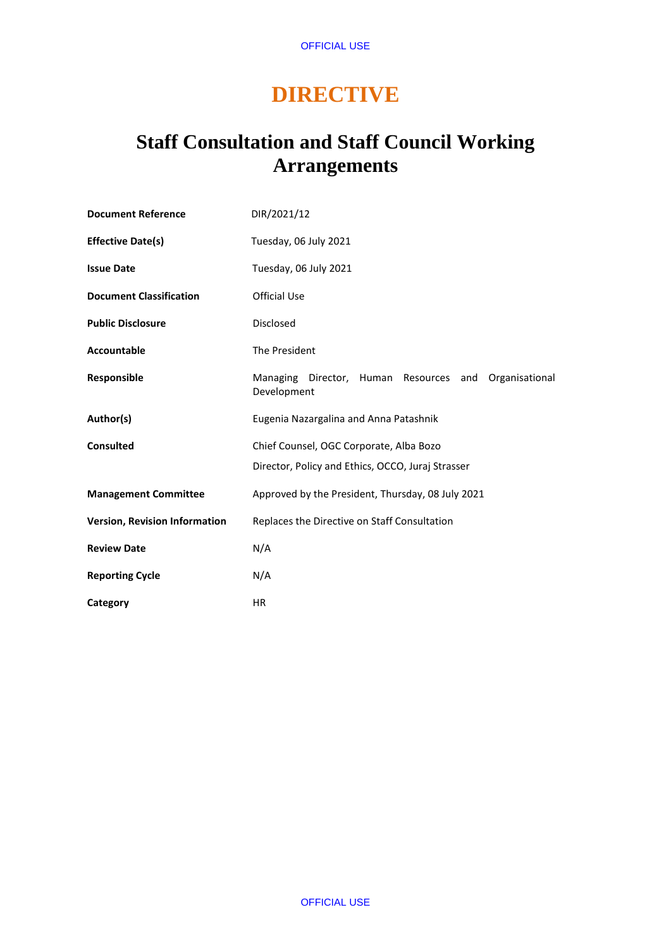# **DIRECTIVE**

## **Staff Consultation and Staff Council Working Arrangements**

| <b>Document Reference</b>            | DIR/2021/12                                                                                  |
|--------------------------------------|----------------------------------------------------------------------------------------------|
| <b>Effective Date(s)</b>             | Tuesday, 06 July 2021                                                                        |
| <b>Issue Date</b>                    | Tuesday, 06 July 2021                                                                        |
| <b>Document Classification</b>       | <b>Official Use</b>                                                                          |
| <b>Public Disclosure</b>             | <b>Disclosed</b>                                                                             |
| <b>Accountable</b>                   | The President                                                                                |
| Responsible                          | Managing Director, Human Resources and<br>Organisational<br>Development                      |
| Author(s)                            | Eugenia Nazargalina and Anna Patashnik                                                       |
| <b>Consulted</b>                     | Chief Counsel, OGC Corporate, Alba Bozo<br>Director, Policy and Ethics, OCCO, Juraj Strasser |
| <b>Management Committee</b>          | Approved by the President, Thursday, 08 July 2021                                            |
| <b>Version, Revision Information</b> | Replaces the Directive on Staff Consultation                                                 |
| <b>Review Date</b>                   | N/A                                                                                          |
| <b>Reporting Cycle</b>               | N/A                                                                                          |
| Category                             | HR.                                                                                          |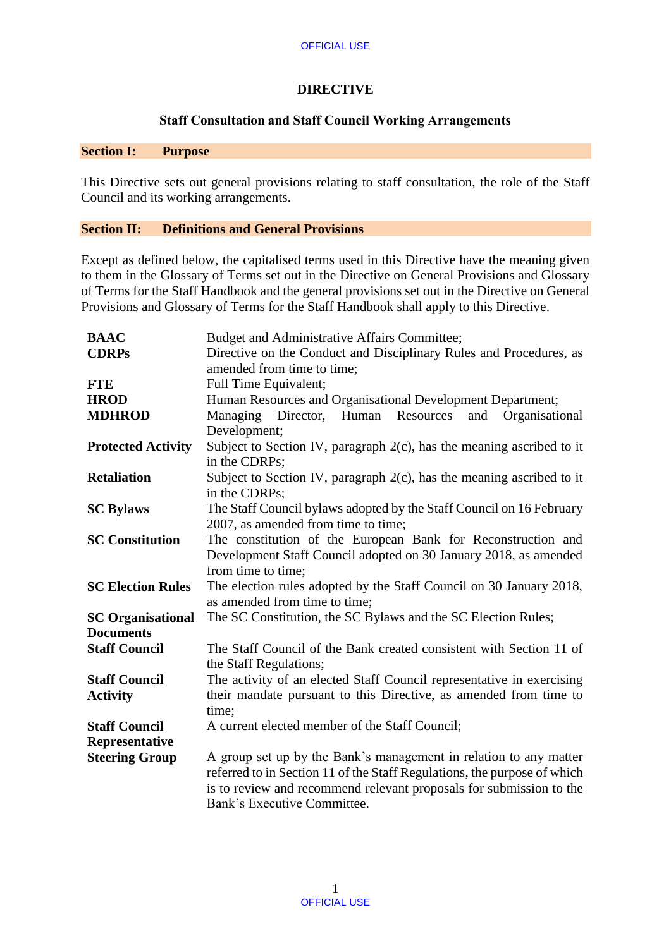## **DIRECTIVE**

#### **Staff Consultation and Staff Council Working Arrangements**

#### **Section I: Purpose**

This Directive sets out general provisions relating to staff consultation, the role of the Staff Council and its working arrangements.

## **Section II: Definitions and General Provisions**

Except as defined below, the capitalised terms used in this Directive have the meaning given to them in the Glossary of Terms set out in the Directive on General Provisions and Glossary of Terms for the Staff Handbook and the general provisions set out in the Directive on General Provisions and Glossary of Terms for the Staff Handbook shall apply to this Directive.

| <b>BAAC</b>               | Budget and Administrative Affairs Committee;                             |  |
|---------------------------|--------------------------------------------------------------------------|--|
| <b>CDRPs</b>              | Directive on the Conduct and Disciplinary Rules and Procedures, as       |  |
|                           | amended from time to time;                                               |  |
| <b>FTE</b>                | Full Time Equivalent;                                                    |  |
| <b>HROD</b>               | Human Resources and Organisational Development Department;               |  |
| <b>MDHROD</b>             | Director,<br>Human<br>Resources<br>and<br>Managing<br>Organisational     |  |
|                           | Development;                                                             |  |
| <b>Protected Activity</b> | Subject to Section IV, paragraph $2(c)$ , has the meaning ascribed to it |  |
|                           | in the CDRPs;                                                            |  |
| <b>Retaliation</b>        | Subject to Section IV, paragraph $2(c)$ , has the meaning ascribed to it |  |
|                           | in the CDRPs;                                                            |  |
| <b>SC Bylaws</b>          | The Staff Council bylaws adopted by the Staff Council on 16 February     |  |
|                           | 2007, as amended from time to time;                                      |  |
| <b>SC Constitution</b>    | The constitution of the European Bank for Reconstruction and             |  |
|                           | Development Staff Council adopted on 30 January 2018, as amended         |  |
|                           | from time to time;                                                       |  |
| <b>SC Election Rules</b>  | The election rules adopted by the Staff Council on 30 January 2018,      |  |
|                           | as amended from time to time;                                            |  |
| <b>SC Organisational</b>  | The SC Constitution, the SC Bylaws and the SC Election Rules;            |  |
| <b>Documents</b>          |                                                                          |  |
| <b>Staff Council</b>      | The Staff Council of the Bank created consistent with Section 11 of      |  |
|                           | the Staff Regulations;                                                   |  |
| <b>Staff Council</b>      | The activity of an elected Staff Council representative in exercising    |  |
| <b>Activity</b>           | their mandate pursuant to this Directive, as amended from time to        |  |
|                           | time;                                                                    |  |
| <b>Staff Council</b>      | A current elected member of the Staff Council;                           |  |
| Representative            |                                                                          |  |
| <b>Steering Group</b>     | A group set up by the Bank's management in relation to any matter        |  |
|                           | referred to in Section 11 of the Staff Regulations, the purpose of which |  |
|                           | is to review and recommend relevant proposals for submission to the      |  |
|                           | Bank's Executive Committee.                                              |  |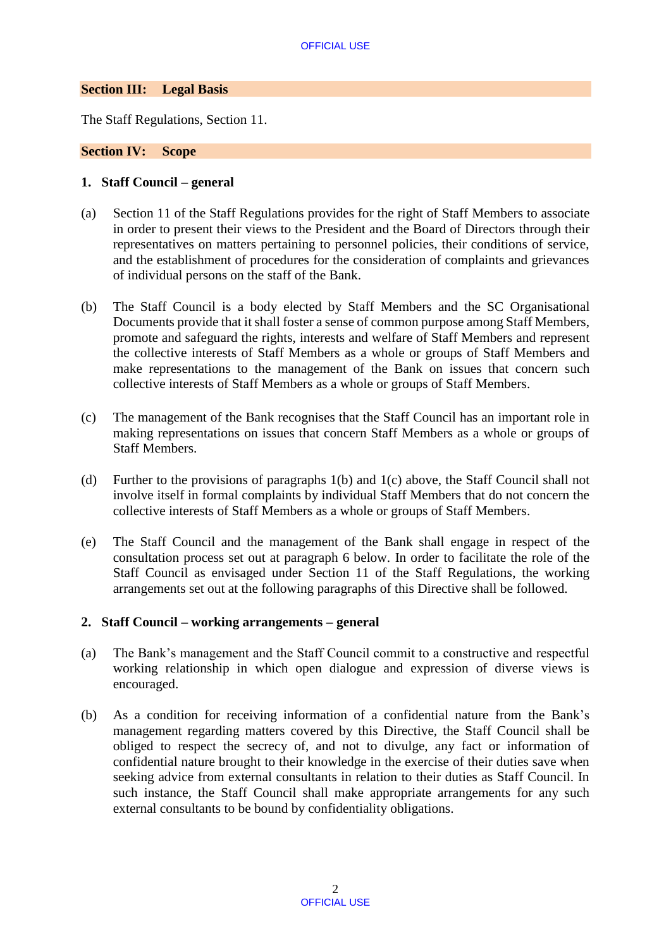## **Section III: Legal Basis**

The Staff Regulations, Section 11.

#### **Section IV: Scope**

#### **1. Staff Council – general**

- (a) Section 11 of the Staff Regulations provides for the right of Staff Members to associate in order to present their views to the President and the Board of Directors through their representatives on matters pertaining to personnel policies, their conditions of service, and the establishment of procedures for the consideration of complaints and grievances of individual persons on the staff of the Bank.
- (b) The Staff Council is a body elected by Staff Members and the SC Organisational Documents provide that it shall foster a sense of common purpose among Staff Members, promote and safeguard the rights, interests and welfare of Staff Members and represent the collective interests of Staff Members as a whole or groups of Staff Members and make representations to the management of the Bank on issues that concern such collective interests of Staff Members as a whole or groups of Staff Members.
- (c) The management of the Bank recognises that the Staff Council has an important role in making representations on issues that concern Staff Members as a whole or groups of Staff Members.
- (d) Further to the provisions of paragraphs 1(b) and 1(c) above, the Staff Council shall not involve itself in formal complaints by individual Staff Members that do not concern the collective interests of Staff Members as a whole or groups of Staff Members.
- (e) The Staff Council and the management of the Bank shall engage in respect of the consultation process set out at paragraph 6 below. In order to facilitate the role of the Staff Council as envisaged under Section 11 of the Staff Regulations, the working arrangements set out at the following paragraphs of this Directive shall be followed.

## **2. Staff Council – working arrangements – general**

- (a) The Bank's management and the Staff Council commit to a constructive and respectful working relationship in which open dialogue and expression of diverse views is encouraged.
- (b) As a condition for receiving information of a confidential nature from the Bank's management regarding matters covered by this Directive, the Staff Council shall be obliged to respect the secrecy of, and not to divulge, any fact or information of confidential nature brought to their knowledge in the exercise of their duties save when seeking advice from external consultants in relation to their duties as Staff Council. In such instance, the Staff Council shall make appropriate arrangements for any such external consultants to be bound by confidentiality obligations.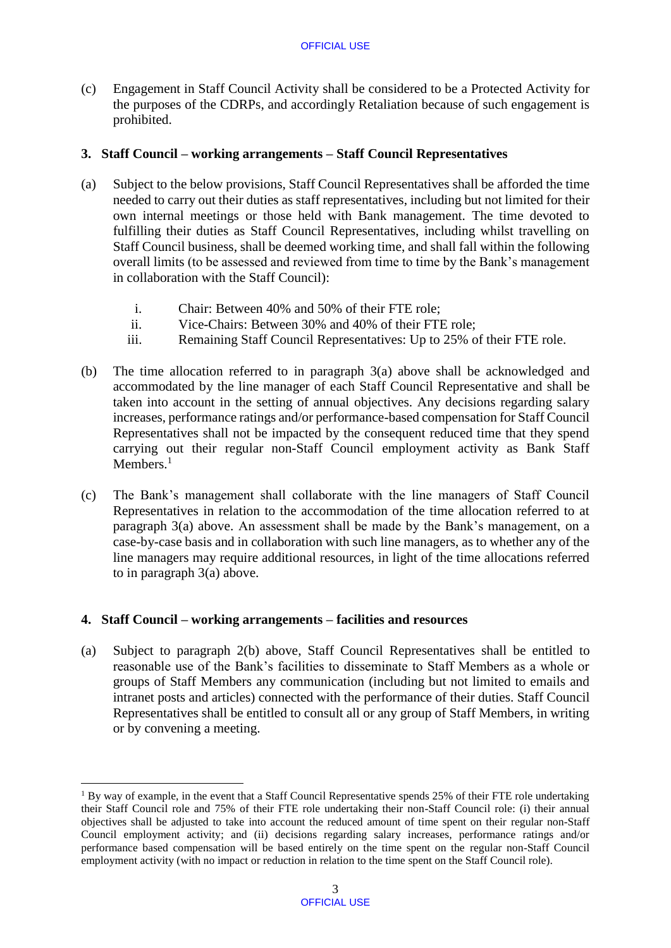(c) Engagement in Staff Council Activity shall be considered to be a Protected Activity for the purposes of the CDRPs, and accordingly Retaliation because of such engagement is prohibited.

## **3. Staff Council – working arrangements – Staff Council Representatives**

- (a) Subject to the below provisions, Staff Council Representatives shall be afforded the time needed to carry out their duties as staff representatives, including but not limited for their own internal meetings or those held with Bank management. The time devoted to fulfilling their duties as Staff Council Representatives, including whilst travelling on Staff Council business, shall be deemed working time, and shall fall within the following overall limits (to be assessed and reviewed from time to time by the Bank's management in collaboration with the Staff Council):
	- i. Chair: Between 40% and 50% of their FTE role;
	- ii. Vice-Chairs: Between 30% and 40% of their FTE role;
	- iii. Remaining Staff Council Representatives: Up to 25% of their FTE role.
- (b) The time allocation referred to in paragraph 3(a) above shall be acknowledged and accommodated by the line manager of each Staff Council Representative and shall be taken into account in the setting of annual objectives. Any decisions regarding salary increases, performance ratings and/or performance-based compensation for Staff Council Representatives shall not be impacted by the consequent reduced time that they spend carrying out their regular non-Staff Council employment activity as Bank Staff Members.<sup>1</sup>
- (c) The Bank's management shall collaborate with the line managers of Staff Council Representatives in relation to the accommodation of the time allocation referred to at paragraph 3(a) above. An assessment shall be made by the Bank's management, on a case-by-case basis and in collaboration with such line managers, as to whether any of the line managers may require additional resources, in light of the time allocations referred to in paragraph 3(a) above.

## **4. Staff Council – working arrangements – facilities and resources**

(a) Subject to paragraph 2(b) above, Staff Council Representatives shall be entitled to reasonable use of the Bank's facilities to disseminate to Staff Members as a whole or groups of Staff Members any communication (including but not limited to emails and intranet posts and articles) connected with the performance of their duties. Staff Council Representatives shall be entitled to consult all or any group of Staff Members, in writing or by convening a meeting.

**<sup>.</sup>** <sup>1</sup> By way of example, in the event that a Staff Council Representative spends 25% of their FTE role undertaking their Staff Council role and 75% of their FTE role undertaking their non-Staff Council role: (i) their annual objectives shall be adjusted to take into account the reduced amount of time spent on their regular non-Staff Council employment activity; and (ii) decisions regarding salary increases, performance ratings and/or performance based compensation will be based entirely on the time spent on the regular non-Staff Council employment activity (with no impact or reduction in relation to the time spent on the Staff Council role).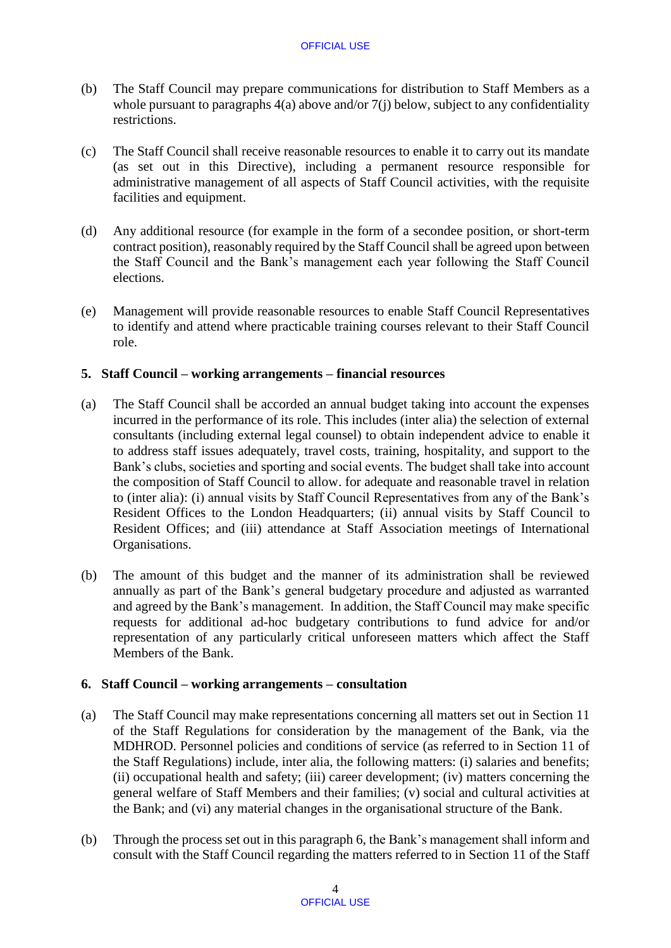- (b) The Staff Council may prepare communications for distribution to Staff Members as a whole pursuant to paragraphs 4(a) above and/or 7(j) below, subject to any confidentiality restrictions.
- (c) The Staff Council shall receive reasonable resources to enable it to carry out its mandate (as set out in this Directive), including a permanent resource responsible for administrative management of all aspects of Staff Council activities, with the requisite facilities and equipment.
- (d) Any additional resource (for example in the form of a secondee position, or short-term contract position), reasonably required by the Staff Council shall be agreed upon between the Staff Council and the Bank's management each year following the Staff Council elections.
- (e) Management will provide reasonable resources to enable Staff Council Representatives to identify and attend where practicable training courses relevant to their Staff Council role.

## **5. Staff Council – working arrangements – financial resources**

- (a) The Staff Council shall be accorded an annual budget taking into account the expenses incurred in the performance of its role. This includes (inter alia) the selection of external consultants (including external legal counsel) to obtain independent advice to enable it to address staff issues adequately, travel costs, training, hospitality, and support to the Bank's clubs, societies and sporting and social events. The budget shall take into account the composition of Staff Council to allow. for adequate and reasonable travel in relation to (inter alia): (i) annual visits by Staff Council Representatives from any of the Bank's Resident Offices to the London Headquarters; (ii) annual visits by Staff Council to Resident Offices; and (iii) attendance at Staff Association meetings of International Organisations.
- (b) The amount of this budget and the manner of its administration shall be reviewed annually as part of the Bank's general budgetary procedure and adjusted as warranted and agreed by the Bank's management. In addition, the Staff Council may make specific requests for additional ad-hoc budgetary contributions to fund advice for and/or representation of any particularly critical unforeseen matters which affect the Staff Members of the Bank.

## **6. Staff Council – working arrangements – consultation**

- (a) The Staff Council may make representations concerning all matters set out in Section 11 of the Staff Regulations for consideration by the management of the Bank, via the MDHROD. Personnel policies and conditions of service (as referred to in Section 11 of the Staff Regulations) include, inter alia, the following matters: (i) salaries and benefits; (ii) occupational health and safety; (iii) career development; (iv) matters concerning the general welfare of Staff Members and their families; (v) social and cultural activities at the Bank; and (vi) any material changes in the organisational structure of the Bank.
- (b) Through the process set out in this paragraph 6, the Bank's management shall inform and consult with the Staff Council regarding the matters referred to in Section 11 of the Staff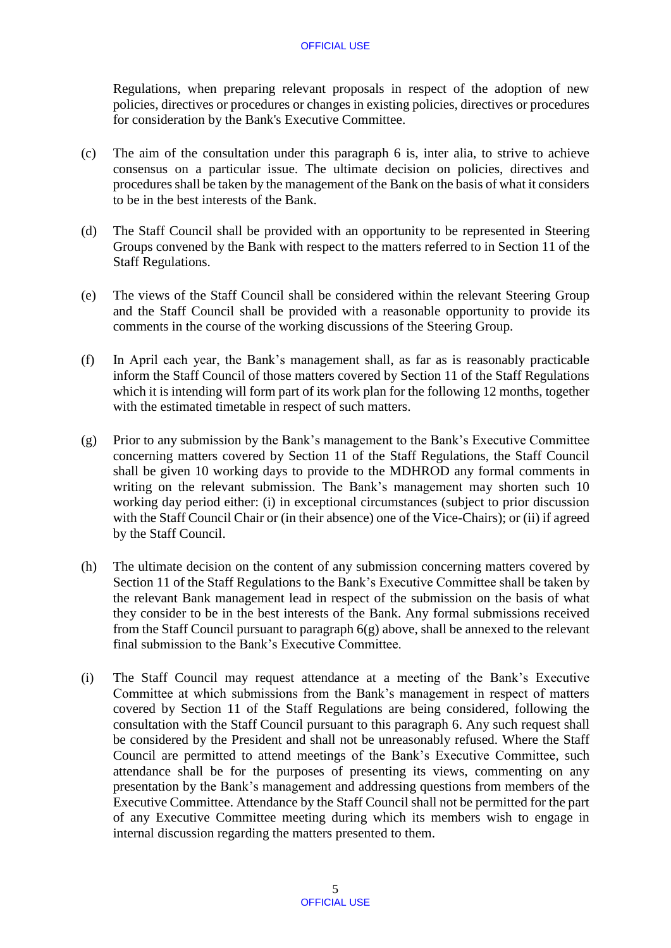Regulations, when preparing relevant proposals in respect of the adoption of new policies, directives or procedures or changes in existing policies, directives or procedures for consideration by the Bank's Executive Committee.

- (c) The aim of the consultation under this paragraph 6 is, inter alia, to strive to achieve consensus on a particular issue. The ultimate decision on policies, directives and procedures shall be taken by the management of the Bank on the basis of what it considers to be in the best interests of the Bank.
- (d) The Staff Council shall be provided with an opportunity to be represented in Steering Groups convened by the Bank with respect to the matters referred to in Section 11 of the Staff Regulations.
- (e) The views of the Staff Council shall be considered within the relevant Steering Group and the Staff Council shall be provided with a reasonable opportunity to provide its comments in the course of the working discussions of the Steering Group.
- (f) In April each year, the Bank's management shall, as far as is reasonably practicable inform the Staff Council of those matters covered by Section 11 of the Staff Regulations which it is intending will form part of its work plan for the following 12 months, together with the estimated timetable in respect of such matters.
- (g) Prior to any submission by the Bank's management to the Bank's Executive Committee concerning matters covered by Section 11 of the Staff Regulations, the Staff Council shall be given 10 working days to provide to the MDHROD any formal comments in writing on the relevant submission. The Bank's management may shorten such 10 working day period either: (i) in exceptional circumstances (subject to prior discussion with the Staff Council Chair or (in their absence) one of the Vice-Chairs); or (ii) if agreed by the Staff Council.
- (h) The ultimate decision on the content of any submission concerning matters covered by Section 11 of the Staff Regulations to the Bank's Executive Committee shall be taken by the relevant Bank management lead in respect of the submission on the basis of what they consider to be in the best interests of the Bank. Any formal submissions received from the Staff Council pursuant to paragraph 6(g) above, shall be annexed to the relevant final submission to the Bank's Executive Committee.
- (i) The Staff Council may request attendance at a meeting of the Bank's Executive Committee at which submissions from the Bank's management in respect of matters covered by Section 11 of the Staff Regulations are being considered, following the consultation with the Staff Council pursuant to this paragraph 6. Any such request shall be considered by the President and shall not be unreasonably refused. Where the Staff Council are permitted to attend meetings of the Bank's Executive Committee, such attendance shall be for the purposes of presenting its views, commenting on any presentation by the Bank's management and addressing questions from members of the Executive Committee. Attendance by the Staff Council shall not be permitted for the part of any Executive Committee meeting during which its members wish to engage in internal discussion regarding the matters presented to them.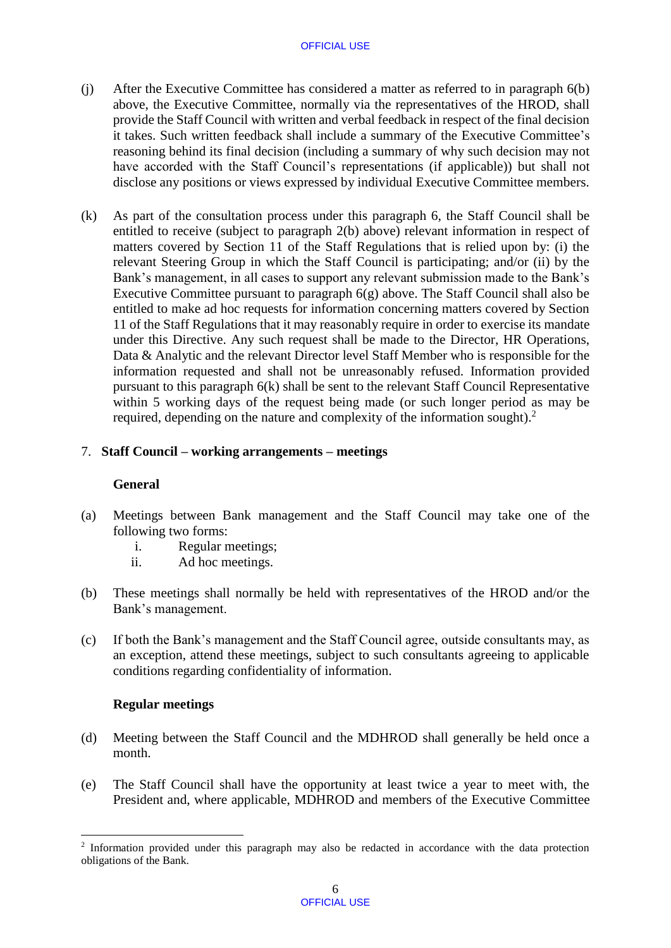#### OFFICIAL USE

- (j) After the Executive Committee has considered a matter as referred to in paragraph 6(b) above, the Executive Committee, normally via the representatives of the HROD, shall provide the Staff Council with written and verbal feedback in respect of the final decision it takes. Such written feedback shall include a summary of the Executive Committee's reasoning behind its final decision (including a summary of why such decision may not have accorded with the Staff Council's representations (if applicable)) but shall not disclose any positions or views expressed by individual Executive Committee members.
- (k) As part of the consultation process under this paragraph 6, the Staff Council shall be entitled to receive (subject to paragraph 2(b) above) relevant information in respect of matters covered by Section 11 of the Staff Regulations that is relied upon by: (i) the relevant Steering Group in which the Staff Council is participating; and/or (ii) by the Bank's management, in all cases to support any relevant submission made to the Bank's Executive Committee pursuant to paragraph 6(g) above. The Staff Council shall also be entitled to make ad hoc requests for information concerning matters covered by Section 11 of the Staff Regulations that it may reasonably require in order to exercise its mandate under this Directive. Any such request shall be made to the Director, HR Operations, Data & Analytic and the relevant Director level Staff Member who is responsible for the information requested and shall not be unreasonably refused. Information provided pursuant to this paragraph 6(k) shall be sent to the relevant Staff Council Representative within 5 working days of the request being made (or such longer period as may be required, depending on the nature and complexity of the information sought).<sup>2</sup>

## 7. **Staff Council – working arrangements – meetings**

## **General**

- (a) Meetings between Bank management and the Staff Council may take one of the following two forms:
	- i. Regular meetings;
	- ii. Ad hoc meetings.
- (b) These meetings shall normally be held with representatives of the HROD and/or the Bank's management.
- (c) If both the Bank's management and the Staff Council agree, outside consultants may, as an exception, attend these meetings, subject to such consultants agreeing to applicable conditions regarding confidentiality of information.

## **Regular meetings**

1

- (d) Meeting between the Staff Council and the MDHROD shall generally be held once a month.
- (e) The Staff Council shall have the opportunity at least twice a year to meet with, the President and, where applicable, MDHROD and members of the Executive Committee

<sup>&</sup>lt;sup>2</sup> Information provided under this paragraph may also be redacted in accordance with the data protection obligations of the Bank.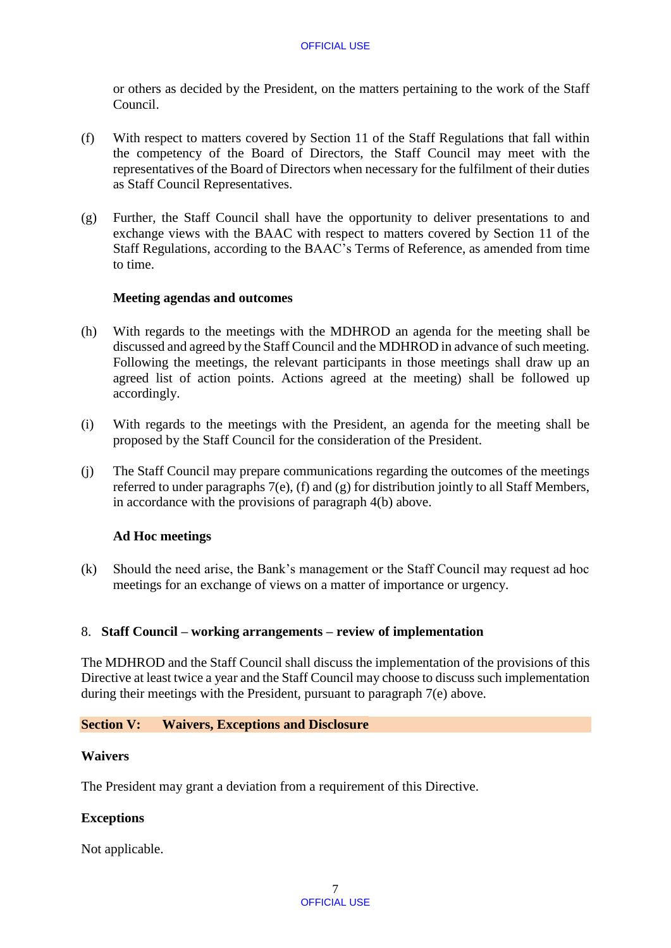or others as decided by the President, on the matters pertaining to the work of the Staff Council.

- (f) With respect to matters covered by Section 11 of the Staff Regulations that fall within the competency of the Board of Directors, the Staff Council may meet with the representatives of the Board of Directors when necessary for the fulfilment of their duties as Staff Council Representatives.
- (g) Further, the Staff Council shall have the opportunity to deliver presentations to and exchange views with the BAAC with respect to matters covered by Section 11 of the Staff Regulations, according to the BAAC's Terms of Reference, as amended from time to time.

## **Meeting agendas and outcomes**

- (h) With regards to the meetings with the MDHROD an agenda for the meeting shall be discussed and agreed by the Staff Council and the MDHROD in advance of such meeting. Following the meetings, the relevant participants in those meetings shall draw up an agreed list of action points. Actions agreed at the meeting) shall be followed up accordingly.
- (i) With regards to the meetings with the President, an agenda for the meeting shall be proposed by the Staff Council for the consideration of the President.
- (j) The Staff Council may prepare communications regarding the outcomes of the meetings referred to under paragraphs 7(e), (f) and (g) for distribution jointly to all Staff Members, in accordance with the provisions of paragraph 4(b) above.

## **Ad Hoc meetings**

(k) Should the need arise, the Bank's management or the Staff Council may request ad hoc meetings for an exchange of views on a matter of importance or urgency.

## 8. **Staff Council – working arrangements – review of implementation**

The MDHROD and the Staff Council shall discuss the implementation of the provisions of this Directive at least twice a year and the Staff Council may choose to discuss such implementation during their meetings with the President, pursuant to paragraph 7(e) above.

## **Section V: Waivers, Exceptions and Disclosure**

#### **Waivers**

The President may grant a deviation from a requirement of this Directive.

## **Exceptions**

Not applicable.